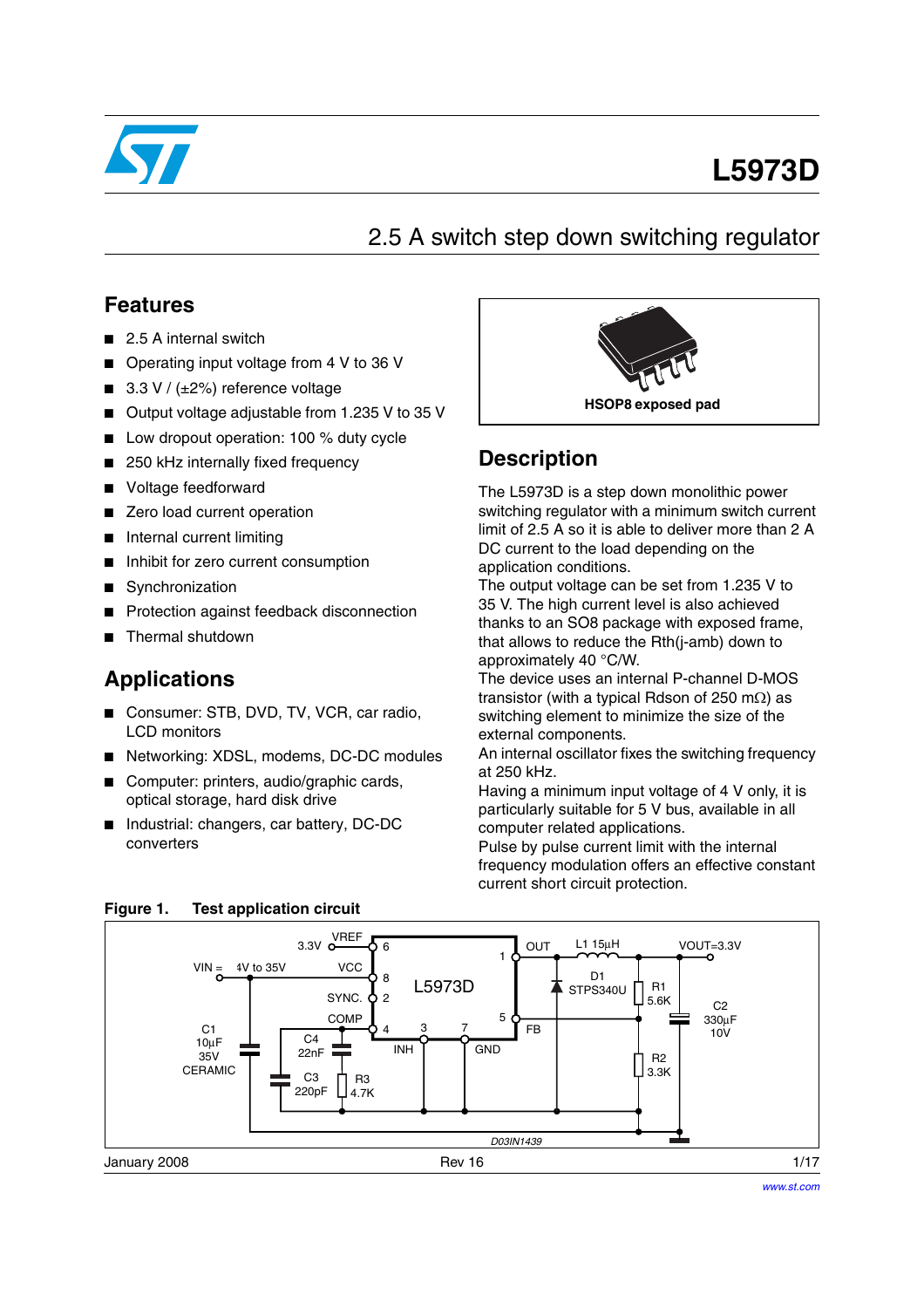

# **L5973D**

2.5 A switch step down switching regulator

### **Features**

- 2.5 A internal switch
- Operating input voltage from 4 V to 36 V
- 3.3 V /  $(\pm 2\%)$  reference voltage
- Output voltage adjustable from 1.235 V to 35 V
- Low dropout operation: 100 % duty cycle
- 250 kHz internally fixed frequency
- Voltage feedforward
- Zero load current operation
- Internal current limiting
- Inhibit for zero current consumption
- Synchronization
- Protection against feedback disconnection
- Thermal shutdown

### **Applications**

- Consumer: STB, DVD, TV, VCR, car radio, LCD monitors
- Networking: XDSL, modems, DC-DC modules
- Computer: printers, audio/graphic cards, optical storage, hard disk drive
- Industrial: changers, car battery, DC-DC converters



### **Description**

The L5973D is a step down monolithic power switching regulator with a minimum switch current limit of 2.5 A so it is able to deliver more than 2 A DC current to the load depending on the application conditions.

The output voltage can be set from 1.235 V to 35 V. The high current level is also achieved thanks to an SO8 package with exposed frame, that allows to reduce the Rth(j-amb) down to approximately 40 °C/W.

The device uses an internal P-channel D-MOS transistor (with a typical Rdson of 250 m $\Omega$ ) as switching element to minimize the size of the external components.

An internal oscillator fixes the switching frequency at 250 kHz.

Having a minimum input voltage of 4 V only, it is particularly suitable for 5 V bus, available in all computer related applications.

Pulse by pulse current limit with the internal frequency modulation offers an effective constant current short circuit protection.



#### **Figure 1. Test application circuit**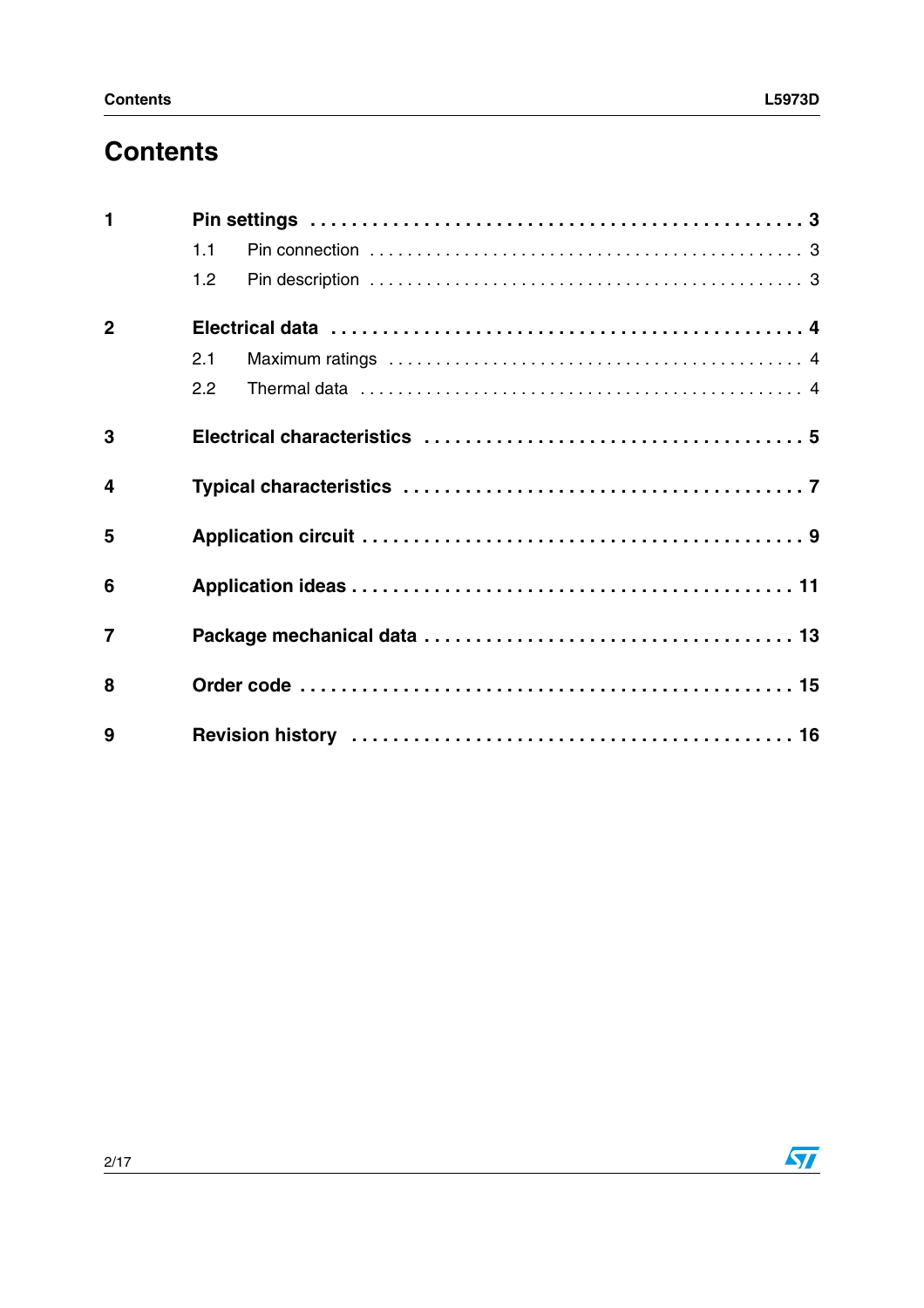## **Contents**

| $\blacksquare$   |     |  |
|------------------|-----|--|
|                  | 1.1 |  |
|                  | 1.2 |  |
| $\overline{2}$   |     |  |
|                  | 2.1 |  |
|                  | 2.2 |  |
| 3                |     |  |
| $\boldsymbol{4}$ |     |  |
| 5                |     |  |
| 6                |     |  |
| $\overline{7}$   |     |  |
| 8                |     |  |
| 9                |     |  |

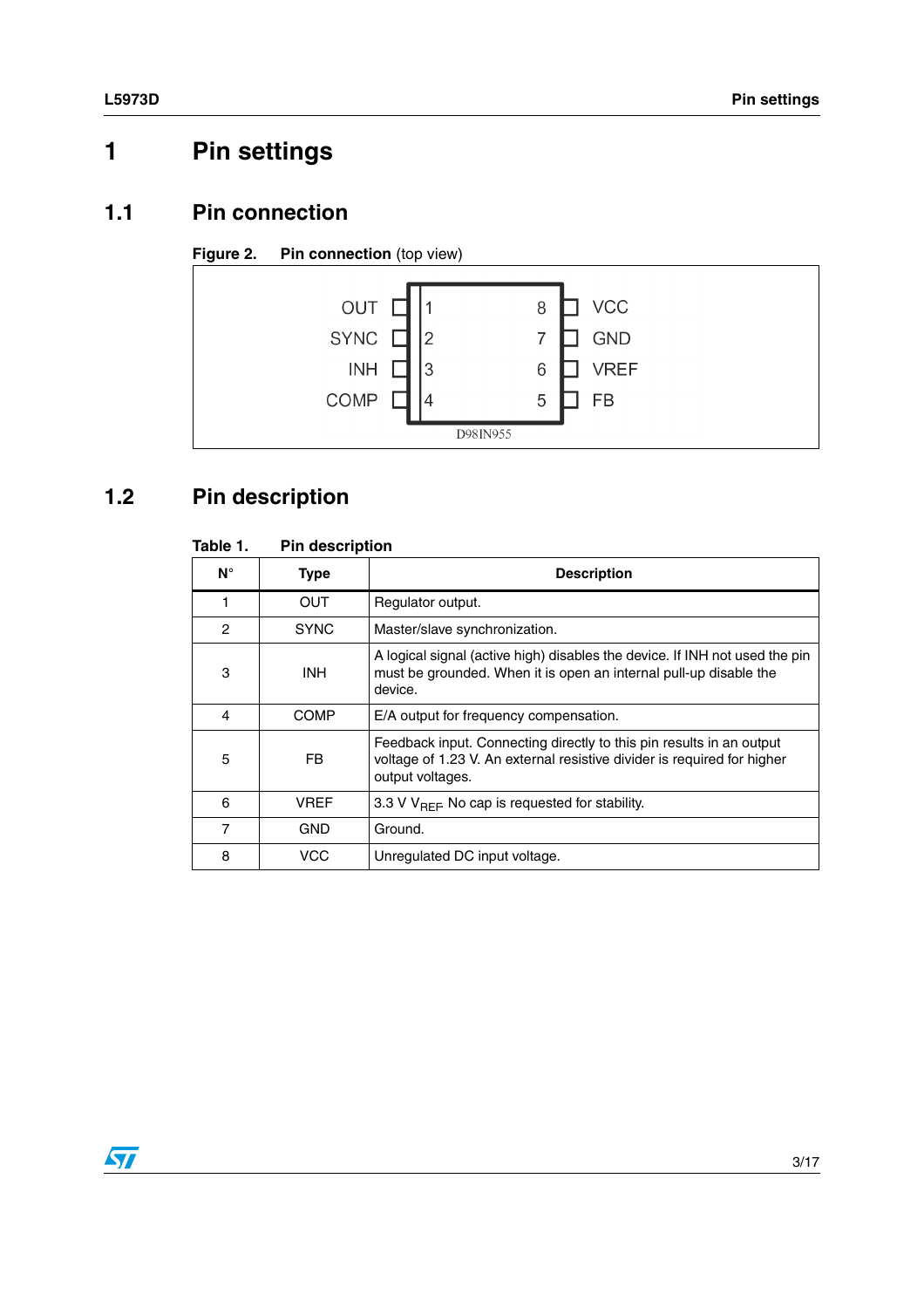# <span id="page-2-0"></span>**1 Pin settings**

### <span id="page-2-1"></span>**1.1 Pin connection**

#### **Figure 2.** Pin connection (top view)



### <span id="page-2-2"></span>**1.2 Pin description**

| Table 1. | <b>Pin description</b> |  |
|----------|------------------------|--|
|          |                        |  |

| $N^{\circ}$   | <b>Type</b> | <b>Description</b>                                                                                                                                                  |
|---------------|-------------|---------------------------------------------------------------------------------------------------------------------------------------------------------------------|
|               | <b>OUT</b>  | Regulator output.                                                                                                                                                   |
| $\mathcal{P}$ | <b>SYNC</b> | Master/slave synchronization.                                                                                                                                       |
| 3             | <b>INH</b>  | A logical signal (active high) disables the device. If INH not used the pin<br>must be grounded. When it is open an internal pull-up disable the<br>device.         |
| 4             | COMP        | E/A output for frequency compensation.                                                                                                                              |
| 5             | FB          | Feedback input. Connecting directly to this pin results in an output<br>voltage of 1.23 V. An external resistive divider is required for higher<br>output voltages. |
| 6             | <b>VREF</b> | 3.3 V $V_{BFF}$ No cap is requested for stability.                                                                                                                  |
| 7             | <b>GND</b>  | Ground.                                                                                                                                                             |
| 8             | VCC         | Unregulated DC input voltage.                                                                                                                                       |

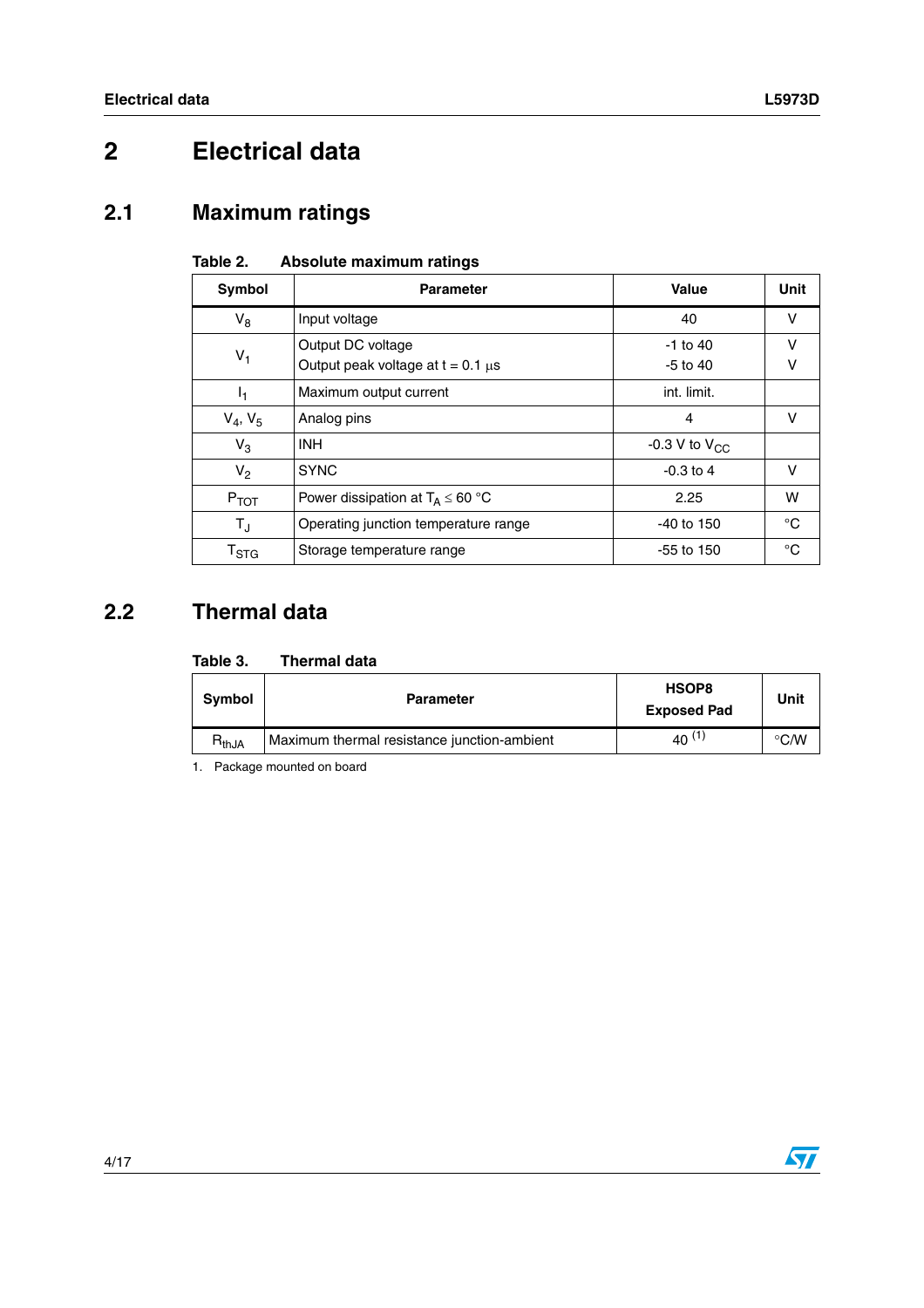# <span id="page-3-0"></span>**2 Electrical data**

### <span id="page-3-1"></span>**2.1 Maximum ratings**

| Symbol                    | <b>Parameter</b>                                            | <b>Value</b>               | Unit   |
|---------------------------|-------------------------------------------------------------|----------------------------|--------|
| $V_8$                     | Input voltage                                               | 40                         | V      |
| $V_1$                     | Output DC voltage<br>Output peak voltage at $t = 0.1 \mu s$ | $-1$ to 40<br>$-5$ to $40$ | v<br>v |
| I <sub>1</sub>            | Maximum output current                                      | int. limit.                |        |
| $V_4, V_5$                | Analog pins                                                 | 4                          | v      |
| $V_3$                     | <b>INH</b>                                                  | -0.3 V to $V_{CC}$         |        |
| $V_2$                     | <b>SYNC</b>                                                 | $-0.3$ to 4                | v      |
| $P_{TOT}$                 | Power dissipation at $T_A \leq 60$ °C                       | 2.25                       | w      |
| $T_{\rm J}$               | Operating junction temperature range                        | $-40$ to 150               | °C     |
| $\mathsf{T}_{\text{STG}}$ | Storage temperature range                                   | $-55$ to 150               | °C     |

#### **Table 2. Absolute maximum ratings**

### <span id="page-3-2"></span>**2.2 Thermal data**

| Table 3. | <b>Thermal data</b> |  |
|----------|---------------------|--|
|          |                     |  |

| Symbol     | <b>Parameter</b>                            | HSOP8<br><b>Exposed Pad</b> | Unit          |
|------------|---------------------------------------------|-----------------------------|---------------|
| $R_{thJA}$ | Maximum thermal resistance junction-ambient | $40^{(1)}$                  | $\degree$ C/W |

1. Package mounted on board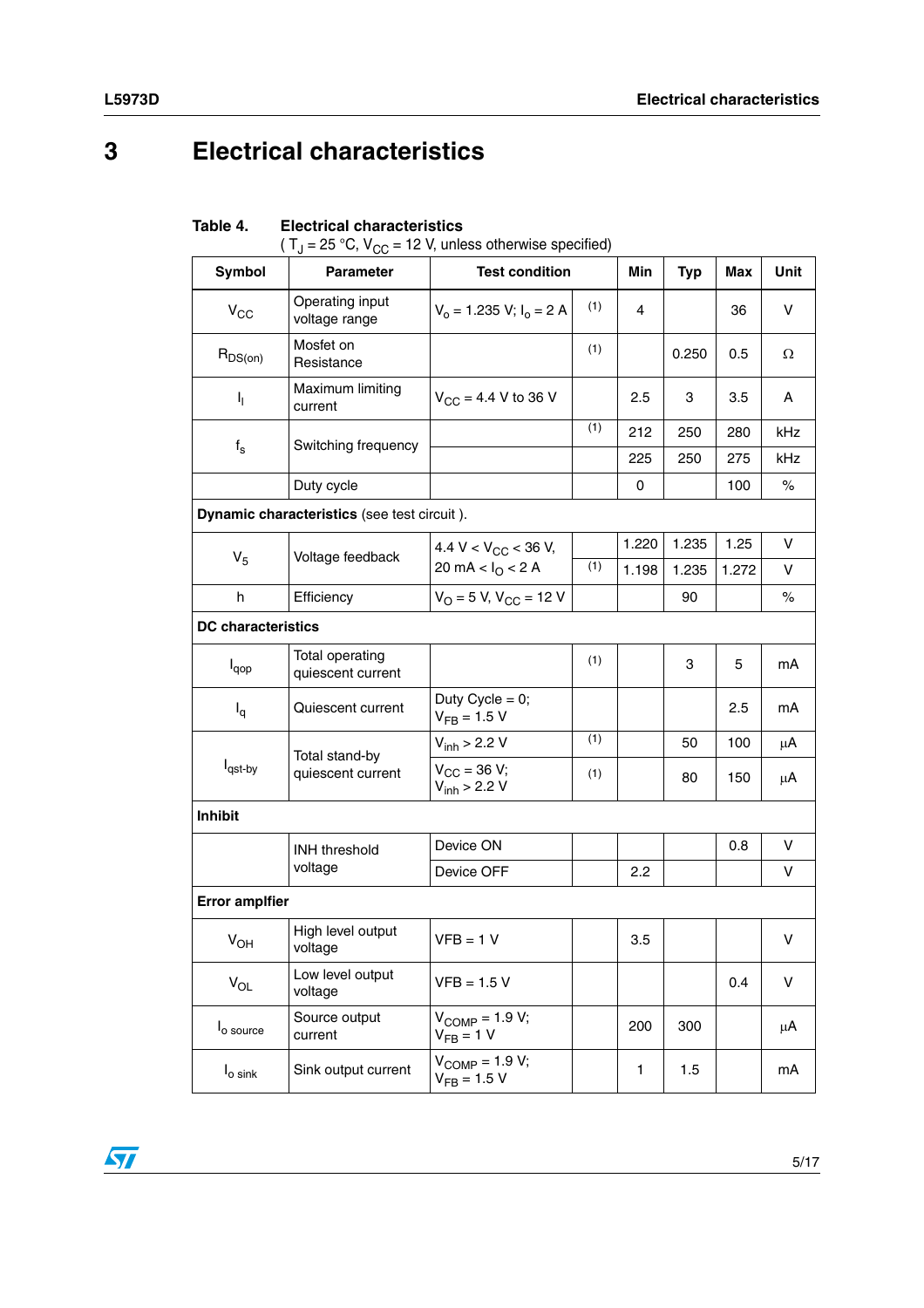# <span id="page-4-0"></span>**3 Electrical characteristics**

| <b>Symbol</b>              | $(1)$ = 25 °C, $V_C C$ = 12 °V, unless otherwise specified)<br><b>Parameter</b> | <b>Test condition</b>                          |     | Min   | <b>Typ</b> | <b>Max</b> | <b>Unit</b> |
|----------------------------|---------------------------------------------------------------------------------|------------------------------------------------|-----|-------|------------|------------|-------------|
|                            |                                                                                 |                                                |     |       |            |            |             |
| $\mathsf{V}_{\mathsf{CC}}$ | Operating input<br>voltage range                                                | $V_0 = 1.235 V; I_0 = 2 A$                     | (1) | 4     |            | 36         | v           |
| $R_{DS(on)}$               | Mosfet on<br>Resistance                                                         |                                                | (1) |       | 0.250      | 0.5        | Ω           |
| ı,                         | Maximum limiting<br>current                                                     | $V_{CC} = 4.4 V$ to 36 V                       |     | 2.5   | 3          | 3.5        | A           |
|                            | Switching frequency                                                             |                                                | (1) | 212   | 250        | 280        | kHz         |
| $f_{\rm s}$                |                                                                                 |                                                |     | 225   | 250        | 275        | kHz         |
|                            | Duty cycle                                                                      |                                                |     | 0     |            | 100        | $\%$        |
|                            | Dynamic characteristics (see test circuit).                                     |                                                |     |       |            |            |             |
|                            |                                                                                 | 4.4 V < $V_{CC}$ < 36 V,                       |     | 1.220 | 1.235      | 1.25       | V           |
| V <sub>5</sub>             | Voltage feedback                                                                | 20 mA < $I_{\Omega}$ < 2 A                     | (1) | 1.198 | 1.235      | 1.272      | V           |
| h                          | Efficiency                                                                      | $V_{O}$ = 5 V, $V_{CC}$ = 12 V                 |     |       | 90         |            | $\%$        |
| <b>DC</b> characteristics  |                                                                                 |                                                |     |       |            |            |             |
| $I_{\text{qop}}$           | Total operating<br>quiescent current                                            |                                                | (1) |       | 3          | 5          | mA          |
| $I_q$                      | Quiescent current                                                               | Duty Cycle = $0$ ;<br>$V_{FB} = 1.5 V$         |     |       |            | 2.5        | mA          |
|                            |                                                                                 | $V_{inh}$ > 2.2 V                              | (1) |       | 50         | 100        | μA          |
| l <sub>qst-by</sub>        | Total stand-by<br>quiescent current                                             | $V_{CC} = 36 V;$<br>$V_{inh}$ > 2.2 V          | (1) |       | 80         | 150        | μA          |
| Inhibit                    |                                                                                 |                                                |     |       |            |            |             |
|                            | <b>INH</b> threshold                                                            | Device ON                                      |     |       |            | 0.8        | V           |
|                            | voltage                                                                         | Device OFF                                     |     | 2.2   |            |            | v           |
| <b>Error amplfier</b>      |                                                                                 |                                                |     |       |            |            |             |
| $V_{OH}$                   | High level output<br>voltage                                                    | $VFB = 1 V$                                    |     | 3.5   |            |            | V           |
| $V_{OL}$                   | Low level output<br>voltage                                                     | $VFB = 1.5 V$                                  |     |       |            | 0.4        | V           |
| l <sub>o source</sub>      | Source output<br>current                                                        | $V_{\text{COMP}} = 1.9 V;$<br>$V_{FB} = 1 V$   |     | 200   | 300        |            | μA          |
| $I_{\rm o\,sink}$          | Sink output current                                                             | $V_{\text{COMP}} = 1.9 V;$<br>$V_{FB} = 1.5 V$ |     | 1     | 1.5        |            | mA          |

#### <span id="page-4-1"></span>**Table 4. Electrical characteristics**

 $T_{\text{U}} = 25 \text{ °C}$ ,  $V_{\text{CC}} = 12 \text{ V}$ , unless otherwise specified)

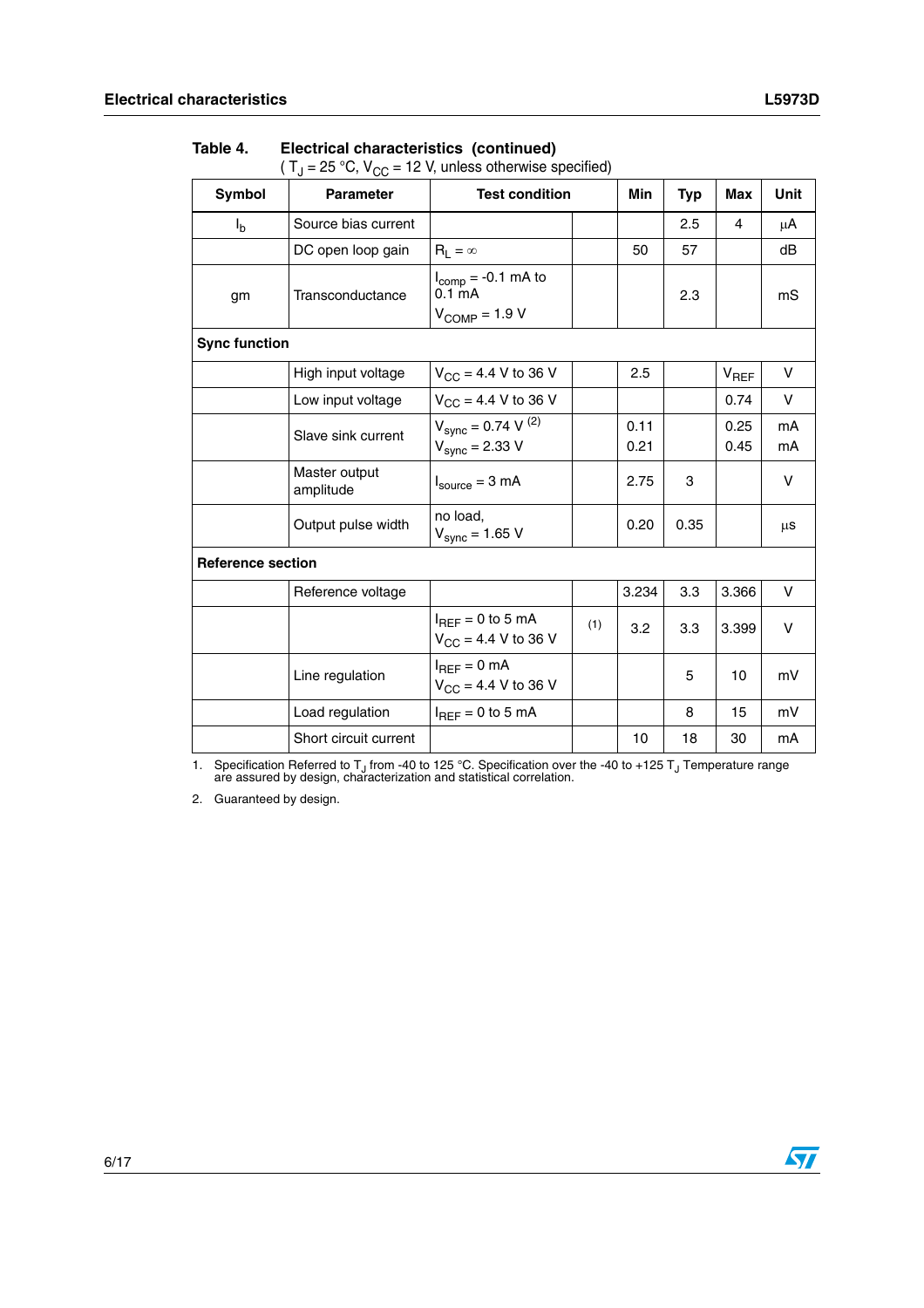| Symbol                   | <b>Parameter</b>           | <b>Test condition</b>                                               |     | Min          | <b>Typ</b> | Max          | <b>Unit</b> |
|--------------------------|----------------------------|---------------------------------------------------------------------|-----|--------------|------------|--------------|-------------|
| $I_{b}$                  | Source bias current        |                                                                     |     |              | 2.5        | 4            | μA          |
|                          | DC open loop gain          | $R_1 = \infty$                                                      |     | 50           | 57         |              | dB          |
| gm                       | Transconductance           | $I_{comp} = -0.1$ mA to<br>0.1 <sub>m</sub> A<br>$V_{COMP} = 1.9 V$ |     |              | 2.3        |              | mS          |
| <b>Sync function</b>     |                            |                                                                     |     |              |            |              |             |
|                          | High input voltage         | $V_{CC}$ = 4.4 V to 36 V                                            |     | 2.5          |            | $V_{REF}$    | v           |
|                          | Low input voltage          | $V_{CC}$ = 4.4 V to 36 V                                            |     |              |            | 0.74         | V           |
|                          | Slave sink current         | $V_{sync} = 0.74 V^{(2)}$<br>$V_{sync} = 2.33 V$                    |     | 0.11<br>0.21 |            | 0.25<br>0.45 | mA<br>mA    |
|                          | Master output<br>amplitude | $I_{\text{source}} = 3 \text{ mA}$                                  |     | 2.75         | 3          |              | v           |
|                          | Output pulse width         | no load,<br>$V_{sync} = 1.65 V$                                     |     | 0.20         | 0.35       |              | μs          |
| <b>Reference section</b> |                            |                                                                     |     |              |            |              |             |
|                          | Reference voltage          |                                                                     |     | 3.234        | 3.3        | 3.366        | v           |
|                          |                            | $I_{REF} = 0$ to 5 mA<br>$V_{\text{CC}} = 4.4 \text{ V}$ to 36 V    | (1) | 3.2          | 3.3        | 3.399        | v           |
|                          | Line regulation            | $I_{REF} = 0$ mA<br>$V_{CC}$ = 4.4 V to 36 V                        |     |              | 5          | 10           | mV          |
|                          | Load regulation            | $I_{REF} = 0$ to 5 mA                                               |     |              | 8          | 15           | mV          |
|                          | Short circuit current      |                                                                     |     | 10           | 18         | 30           | mA          |

#### **Table 4. Electrical characteristics (continued)**

(  $T_J$  = 25 °C,  $V_{CC}$  = 12 V, unless otherwise specified)

1. Specification Referred to T<sub>J</sub> from -40 to 125 °C. Specification over the -40 to +125 T<sub>J</sub> Temperature range are assured by design, characterization and statistical correlation.

2. Guaranteed by design.

 $\sqrt{2}$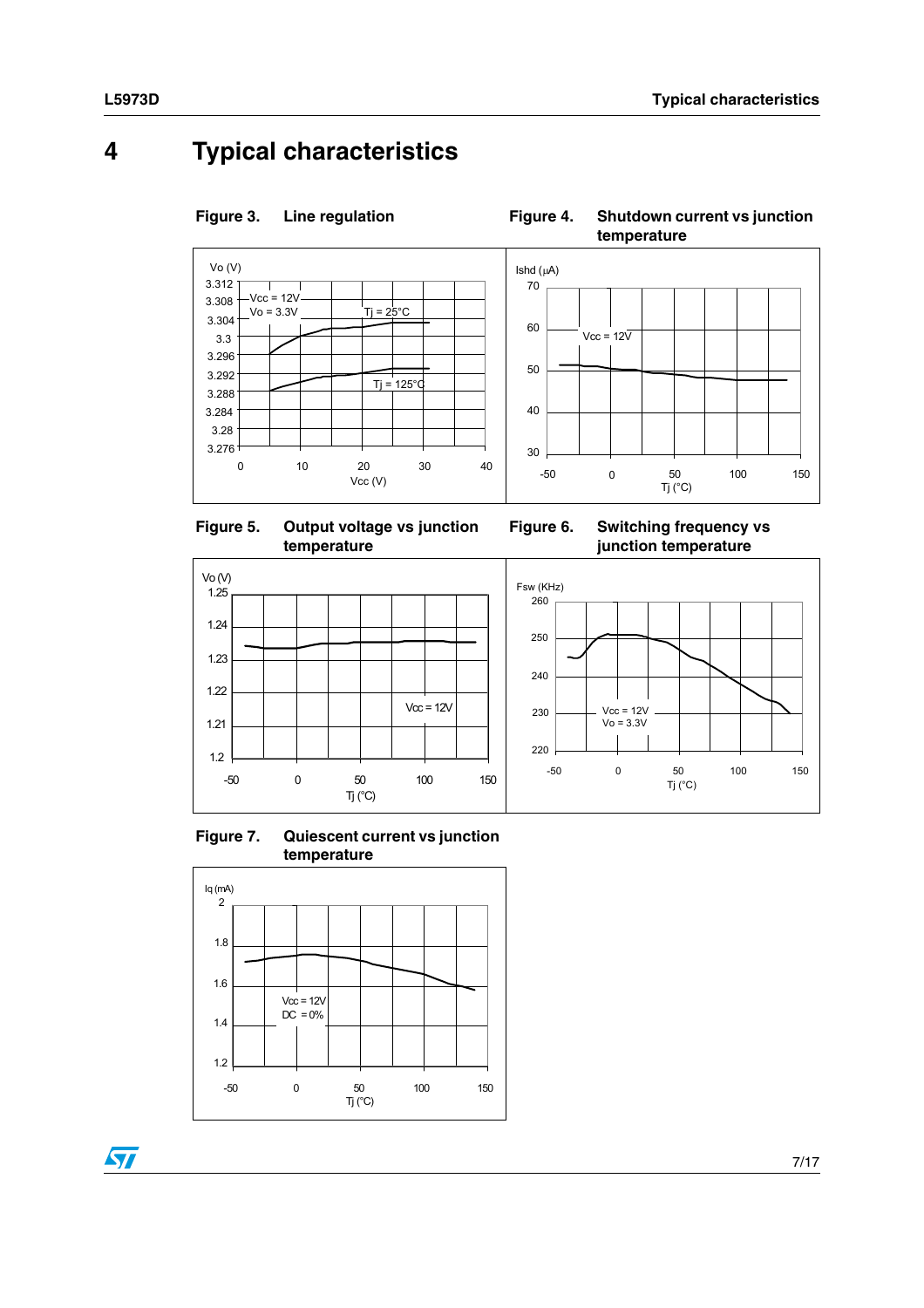## <span id="page-6-0"></span>**4 Typical characteristics**



Figure 3.

**Figure 3. Line regulation Figure 4. Shutdown current vs junction** 

**temperature**







**Figure 7. Quiescent current vs junction temperature**



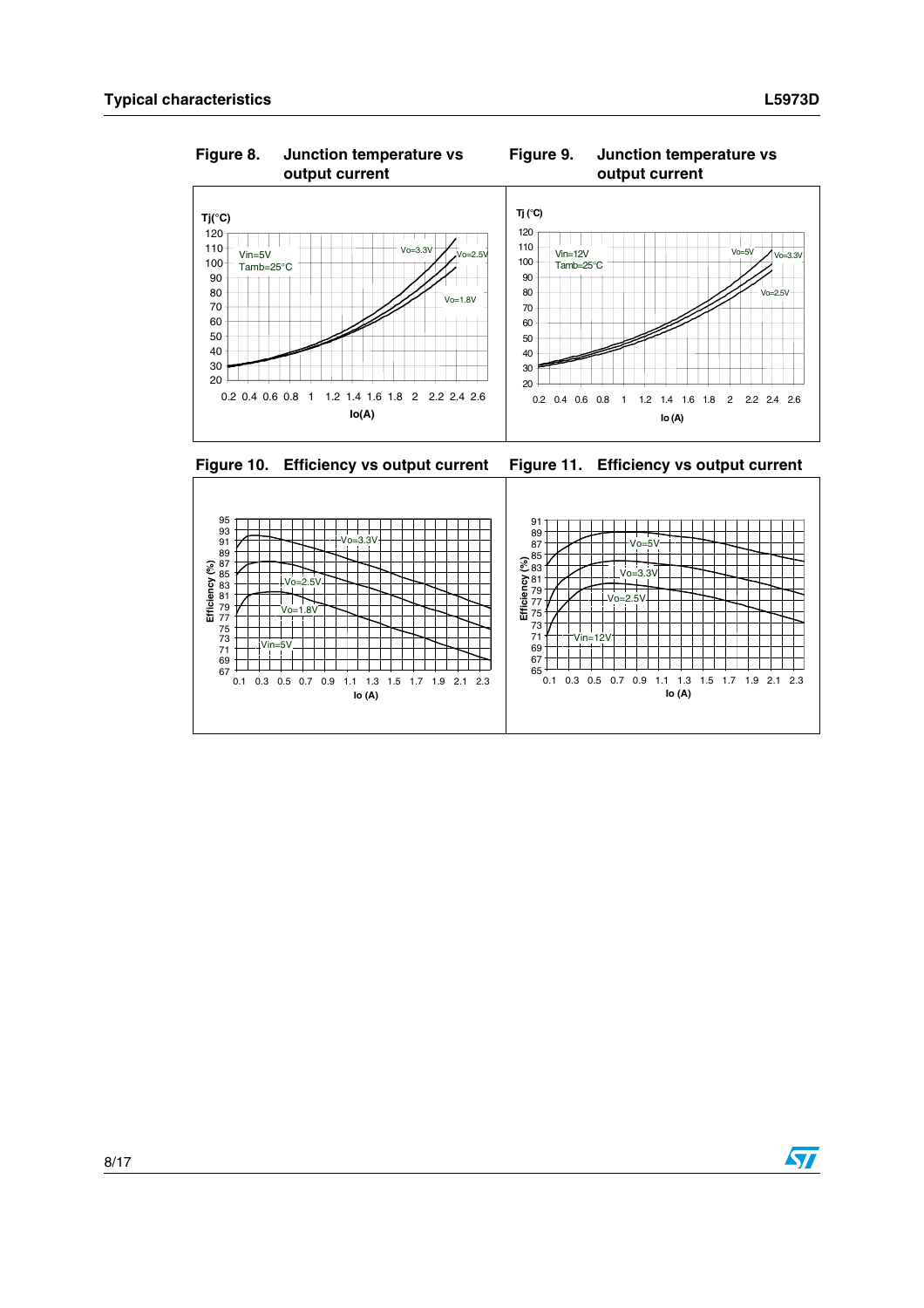

Figure 8. **Figure 8. Junction temperature vs Figure 9. Junction temperature vs** 

#### **Figure 10. Efficiency vs output current Figure 11. Efficiency vs output current**



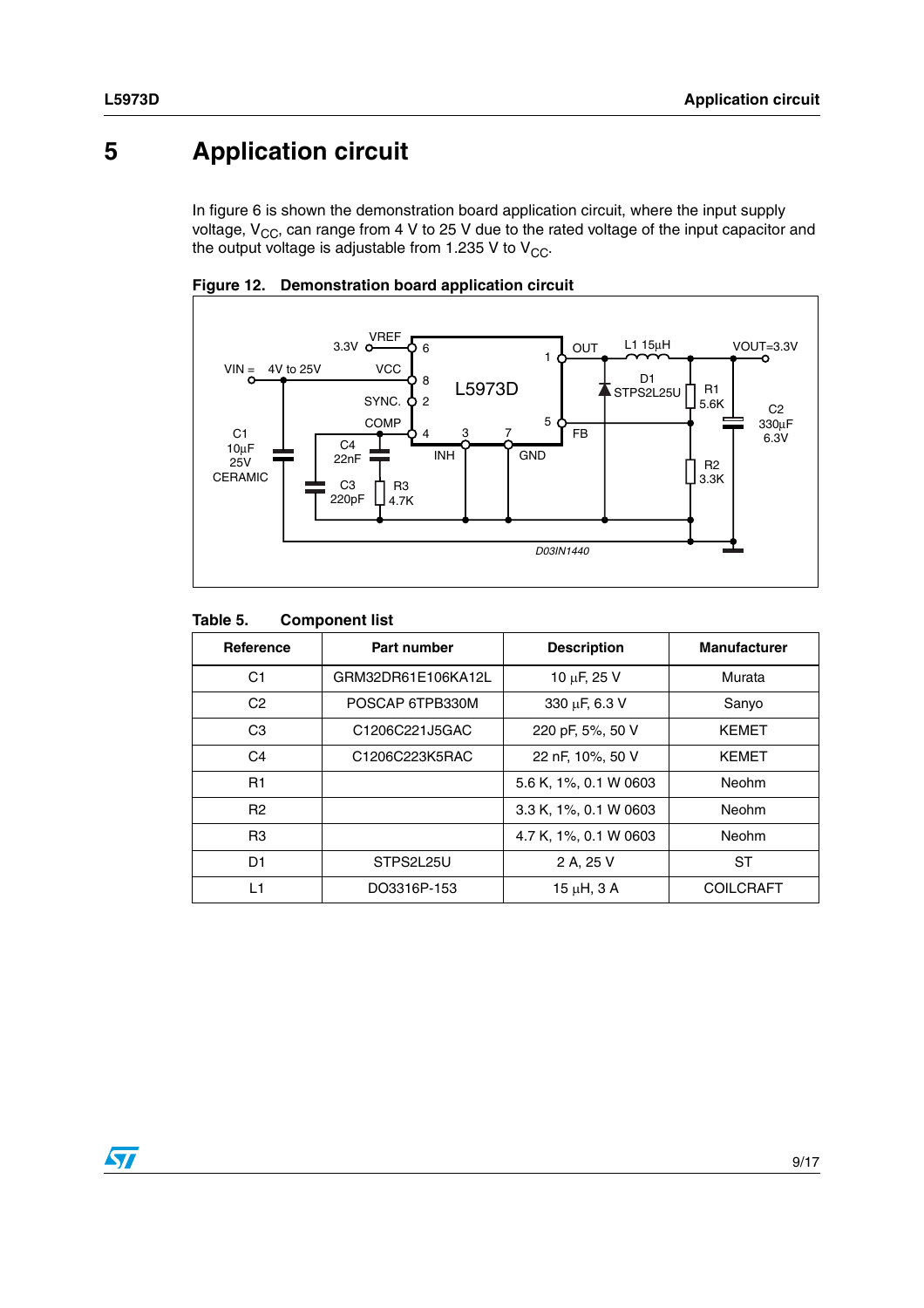## <span id="page-8-0"></span>**5 Application circuit**

In figure 6 is shown the demonstration board application circuit, where the input supply voltage,  $V_{CC}$ , can range from 4 V to 25 V due to the rated voltage of the input capacitor and the output voltage is adjustable from 1.235 V to  $V_{CC}$ .





#### **Table 5. Component list**

| Reference      | Part number        | <b>Description</b>    | <b>Manufacturer</b> |
|----------------|--------------------|-----------------------|---------------------|
| C1             | GRM32DR61E106KA12L | 10 µF, 25 V           | Murata              |
| C <sub>2</sub> | POSCAP 6TPB330M    | 330 µF, 6.3 V         | Sanyo               |
| C <sub>3</sub> | C1206C221J5GAC     | 220 pF, 5%, 50 V      | <b>KEMET</b>        |
| C <sub>4</sub> | C1206C223K5RAC     | 22 nF, 10%, 50 V      | <b>KEMET</b>        |
| R1             |                    | 5.6 K, 1%, 0.1 W 0603 | Neohm               |
| R <sub>2</sub> |                    | 3.3 K, 1%, 0.1 W 0603 | Neohm               |
| R <sub>3</sub> |                    | 4.7 K, 1%, 0.1 W 0603 | Neohm               |
| D1             | STPS2L25U          | 2 A, 25 V             | ST                  |
| L1             | DO3316P-153        | $15 \mu H$ , $3 A$    | <b>COILCRAFT</b>    |

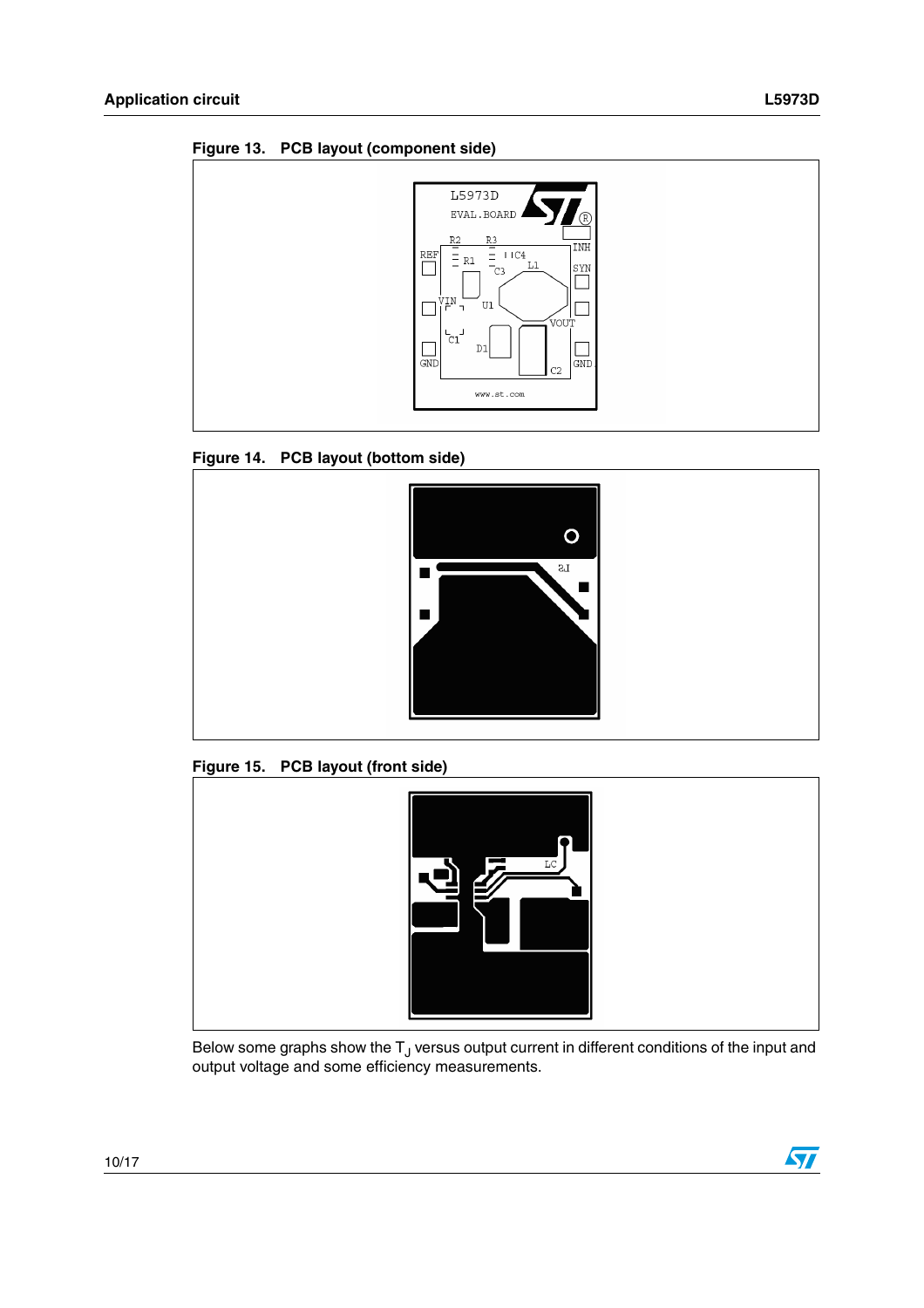**Figure 13. PCB layout (component side)**







**Figure 15. PCB layout (front side)**



Below some graphs show the  $T_J$  versus output current in different conditions of the input and output voltage and some efficiency measurements.

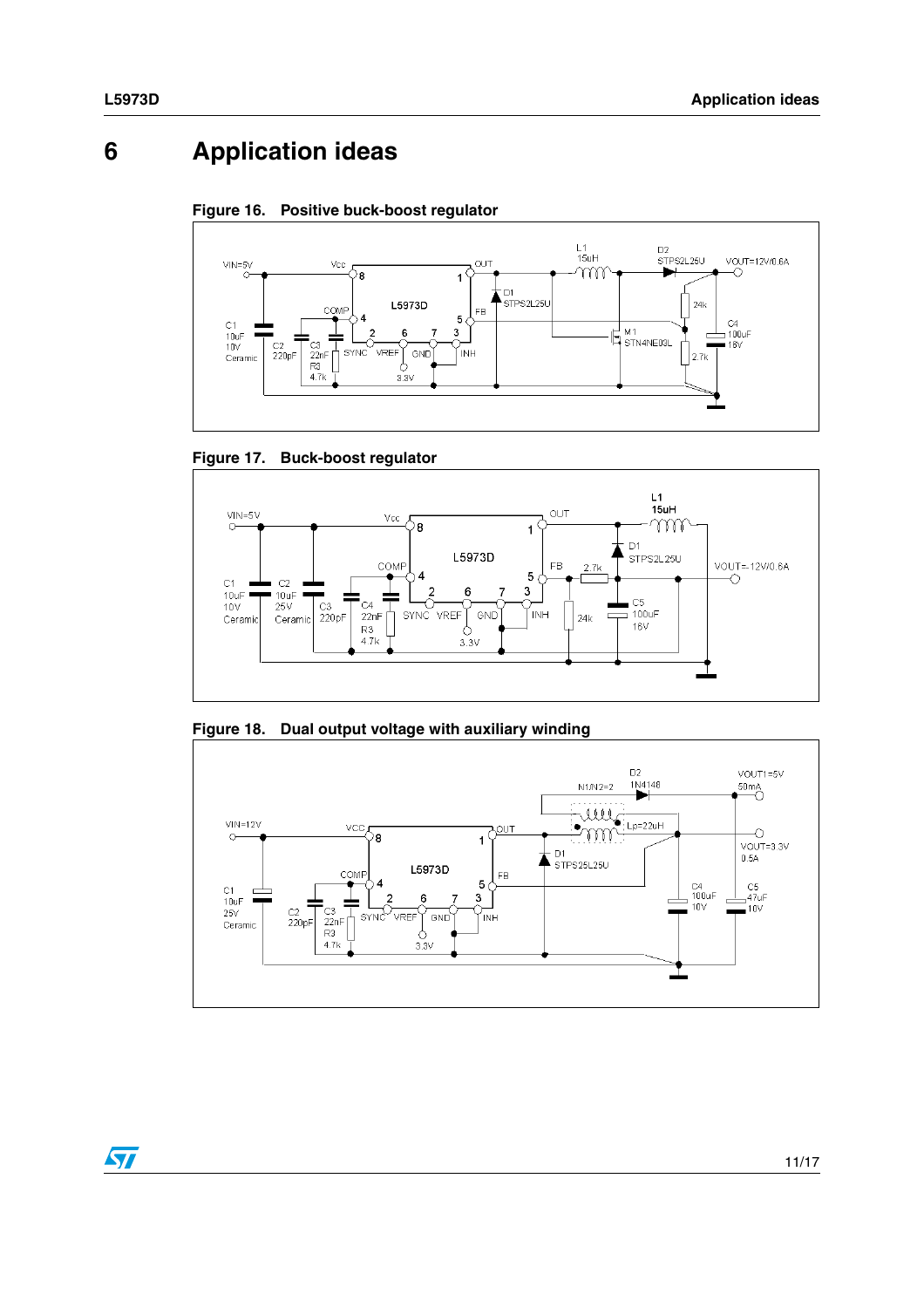## <span id="page-10-0"></span>**6 Application ideas**









**Figure 18. Dual output voltage with auxiliary winding**



 $\sqrt{2}$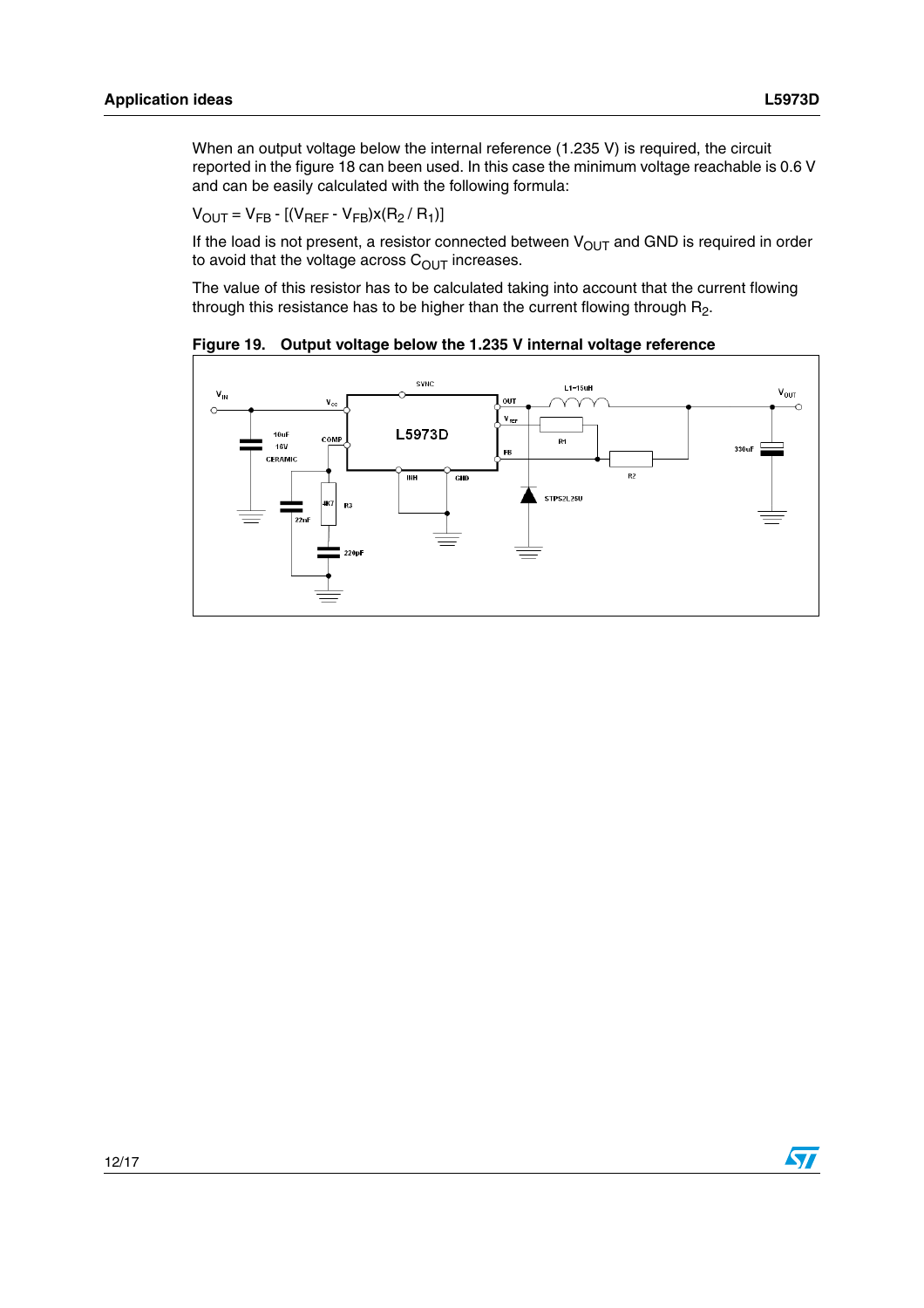When an output voltage below the internal reference (1.235 V) is required, the circuit reported in the figure 18 can been used. In this case the minimum voltage reachable is 0.6 V and can be easily calculated with the following formula:

$$
V_{OUT} = V_{FB} - [(V_{REF} - V_{FB})x(R_2 / R_1)]
$$

If the load is not present, a resistor connected between  $V_{OUT}$  and GND is required in order to avoid that the voltage across  $C<sub>OUT</sub>$  increases.

The value of this resistor has to be calculated taking into account that the current flowing through this resistance has to be higher than the current flowing through  $R_2$ .

<span id="page-11-0"></span>**Figure 19. Output voltage below the 1.235 V internal voltage reference**



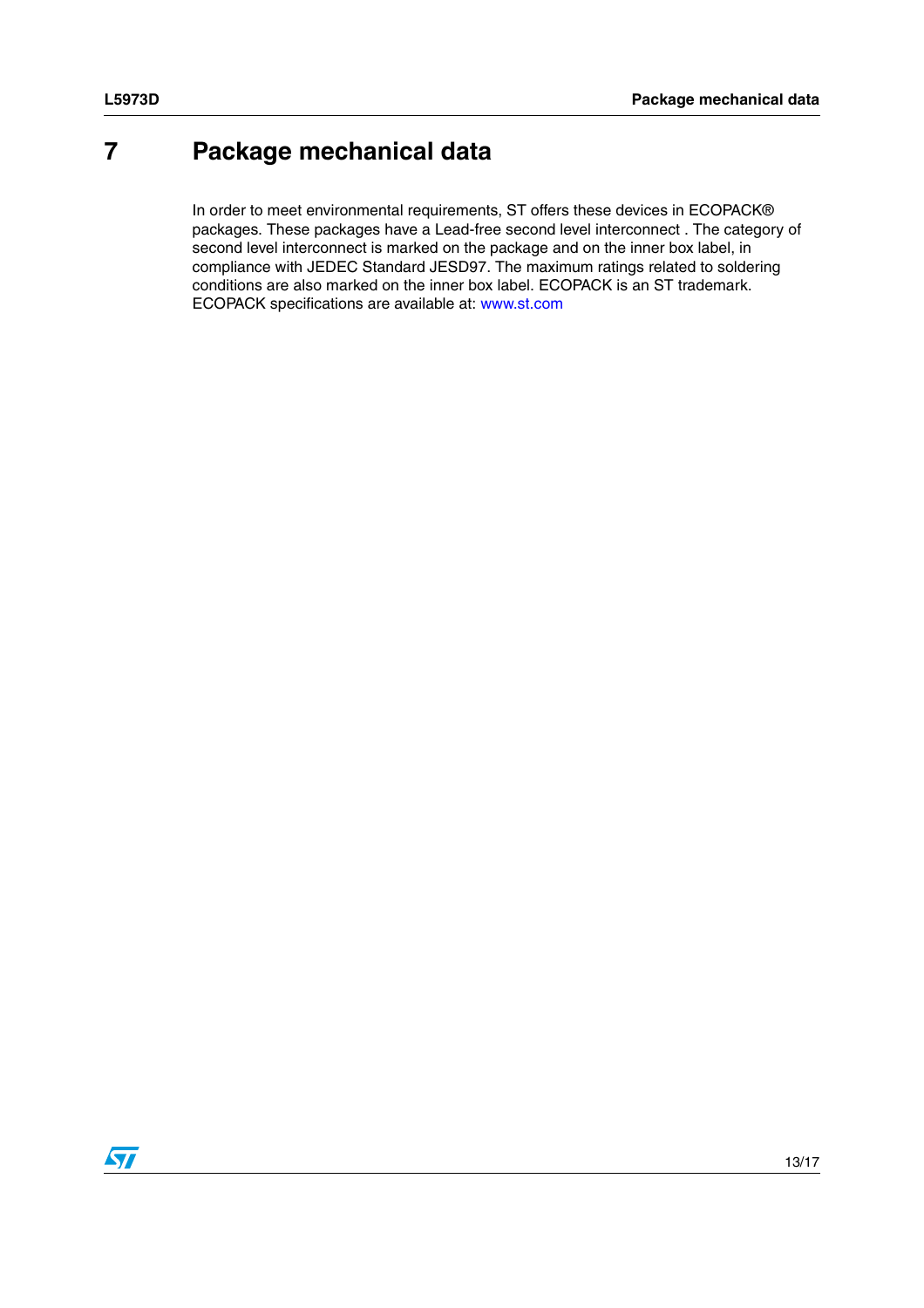## <span id="page-12-0"></span>**7 Package mechanical data**

In order to meet environmental requirements, ST offers these devices in ECOPACK® packages. These packages have a Lead-free second level interconnect . The category of second level interconnect is marked on the package and on the inner box label, in compliance with JEDEC Standard JESD97. The maximum ratings related to soldering conditions are also marked on the inner box label. ECOPACK is an ST trademark. ECOPACK specifications are available at: www.st.com

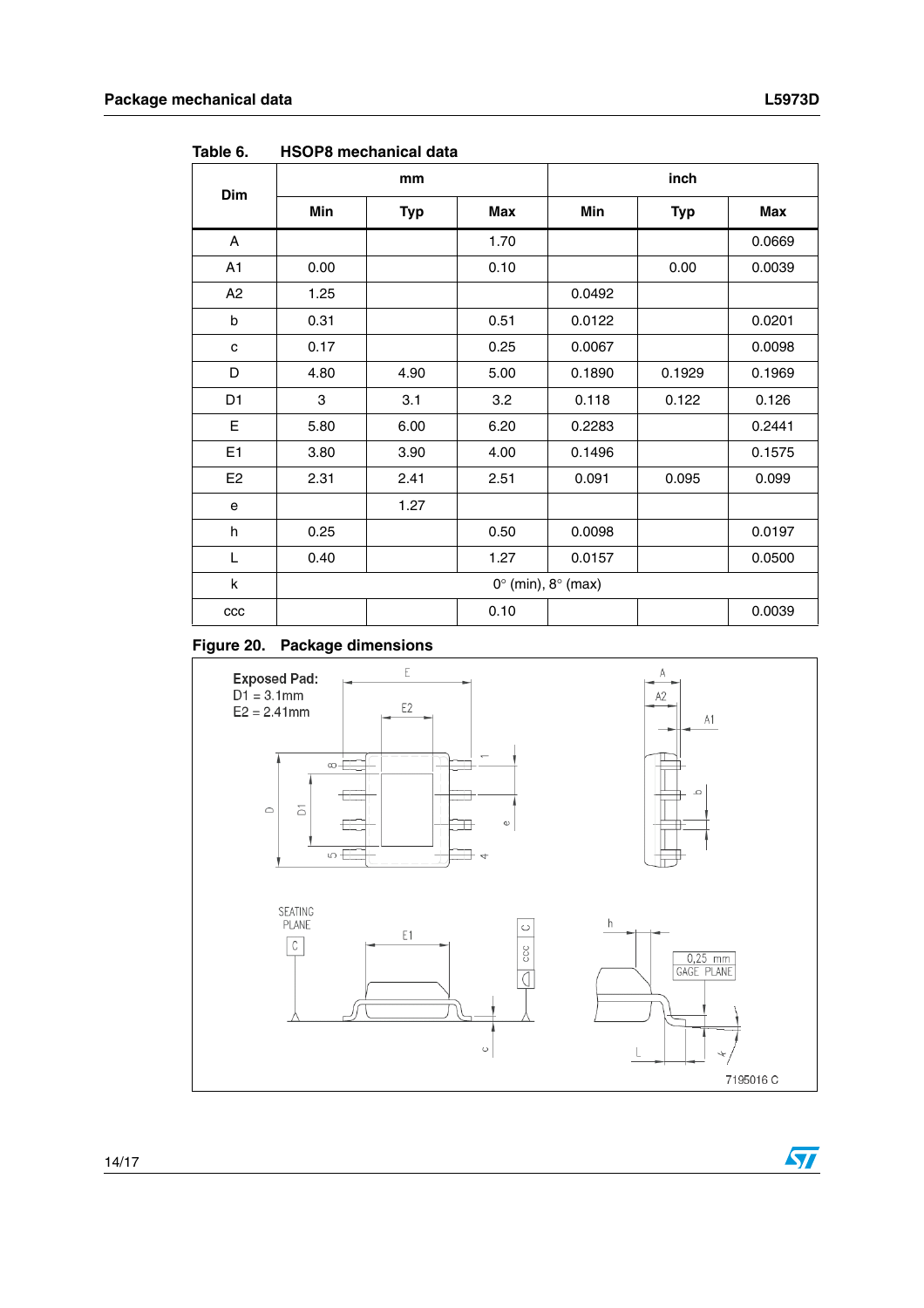$\sqrt{2}$ 

|                |            | mm         |            |                                      | inch       |        |
|----------------|------------|------------|------------|--------------------------------------|------------|--------|
| <b>Dim</b>     | <b>Min</b> | <b>Typ</b> | <b>Max</b> | Min                                  | <b>Typ</b> | Max    |
| A              |            |            | 1.70       |                                      |            | 0.0669 |
| A1             | 0.00       |            | 0.10       |                                      | 0.00       | 0.0039 |
| A2             | 1.25       |            |            | 0.0492                               |            |        |
| b              | 0.31       |            | 0.51       | 0.0122                               |            | 0.0201 |
| c              | 0.17       |            | 0.25       | 0.0067                               |            | 0.0098 |
| D              | 4.80       | 4.90       | 5.00       | 0.1890                               | 0.1929     | 0.1969 |
| D <sub>1</sub> | 3          | 3.1        | 3.2        | 0.118                                | 0.122      | 0.126  |
| E              | 5.80       | 6.00       | 6.20       | 0.2283                               |            | 0.2441 |
| E <sub>1</sub> | 3.80       | 3.90       | 4.00       | 0.1496                               |            | 0.1575 |
| E <sub>2</sub> | 2.31       | 2.41       | 2.51       | 0.091                                | 0.095      | 0.099  |
| е              |            | 1.27       |            |                                      |            |        |
| h              | 0.25       |            | 0.50       | 0.0098                               |            | 0.0197 |
| L              | 0.40       |            | 1.27       | 0.0157                               |            | 0.0500 |
| k              |            |            |            | $0^{\circ}$ (min), $8^{\circ}$ (max) |            |        |
| $_{\rm ccc}$   |            |            | 0.10       |                                      |            | 0.0039 |

<span id="page-13-0"></span>**Table 6. HSOP8 mechanical data**

#### **Figure 20. Package dimensions**

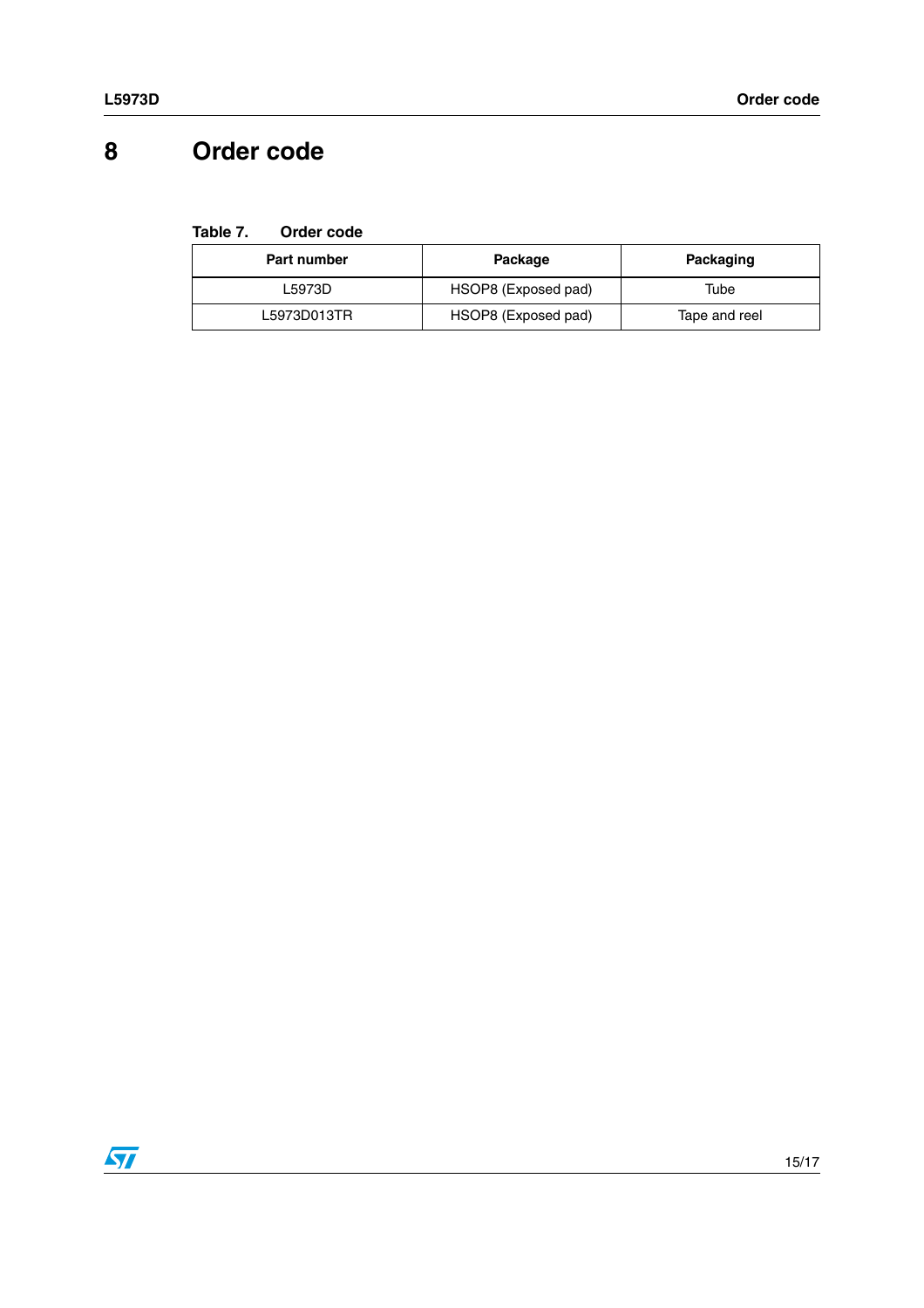# <span id="page-14-0"></span>**8 Order code**

| Table 7. | Order code |  |
|----------|------------|--|
|          |            |  |

| Part number | Package             | Packaging     |
|-------------|---------------------|---------------|
| L5973D      | HSOP8 (Exposed pad) | Tube          |
| L5973D013TR | HSOP8 (Exposed pad) | Tape and reel |

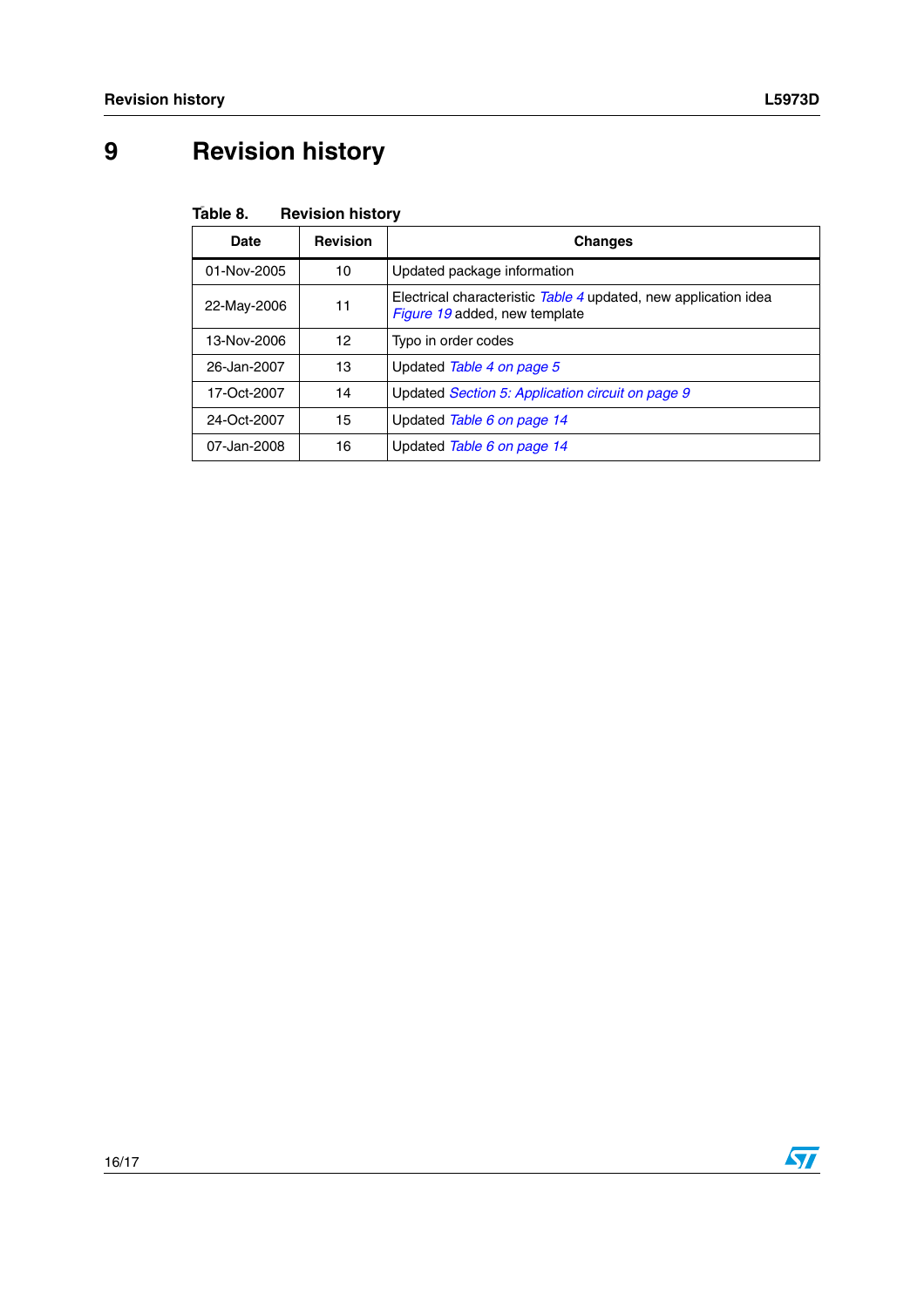# <span id="page-15-0"></span>**9 Revision history**

| Table 8.<br><b>Revision history</b> |
|-------------------------------------|
|-------------------------------------|

| Date        | <b>Revision</b> | <b>Changes</b>                                                                                   |
|-------------|-----------------|--------------------------------------------------------------------------------------------------|
| 01-Nov-2005 | 10              | Updated package information                                                                      |
| 22-May-2006 | 11              | Electrical characteristic Table 4 updated, new application idea<br>Figure 19 added, new template |
| 13-Nov-2006 | 12              | Typo in order codes                                                                              |
| 26-Jan-2007 | 13              | Updated Table 4 on page 5                                                                        |
| 17-Oct-2007 | 14              | Updated Section 5: Application circuit on page 9                                                 |
| 24-Oct-2007 | 15              | Updated Table 6 on page 14                                                                       |
| 07-Jan-2008 | 16              | Updated Table 6 on page 14                                                                       |

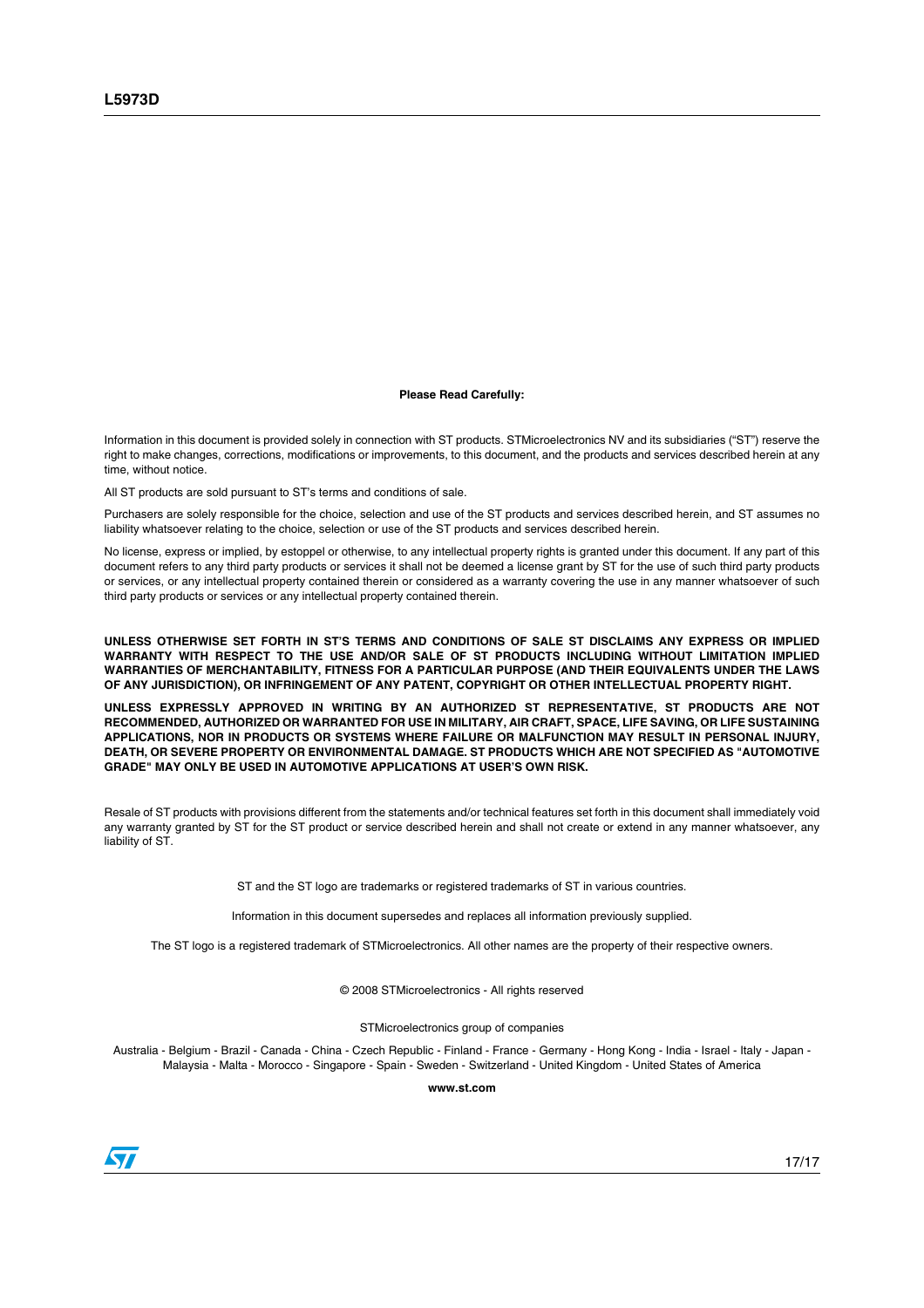#### **Please Read Carefully:**

Information in this document is provided solely in connection with ST products. STMicroelectronics NV and its subsidiaries ("ST") reserve the right to make changes, corrections, modifications or improvements, to this document, and the products and services described herein at any time, without notice.

All ST products are sold pursuant to ST's terms and conditions of sale.

Purchasers are solely responsible for the choice, selection and use of the ST products and services described herein, and ST assumes no liability whatsoever relating to the choice, selection or use of the ST products and services described herein.

No license, express or implied, by estoppel or otherwise, to any intellectual property rights is granted under this document. If any part of this document refers to any third party products or services it shall not be deemed a license grant by ST for the use of such third party products or services, or any intellectual property contained therein or considered as a warranty covering the use in any manner whatsoever of such third party products or services or any intellectual property contained therein.

**UNLESS OTHERWISE SET FORTH IN ST'S TERMS AND CONDITIONS OF SALE ST DISCLAIMS ANY EXPRESS OR IMPLIED WARRANTY WITH RESPECT TO THE USE AND/OR SALE OF ST PRODUCTS INCLUDING WITHOUT LIMITATION IMPLIED WARRANTIES OF MERCHANTABILITY, FITNESS FOR A PARTICULAR PURPOSE (AND THEIR EQUIVALENTS UNDER THE LAWS OF ANY JURISDICTION), OR INFRINGEMENT OF ANY PATENT, COPYRIGHT OR OTHER INTELLECTUAL PROPERTY RIGHT.**

**UNLESS EXPRESSLY APPROVED IN WRITING BY AN AUTHORIZED ST REPRESENTATIVE, ST PRODUCTS ARE NOT RECOMMENDED, AUTHORIZED OR WARRANTED FOR USE IN MILITARY, AIR CRAFT, SPACE, LIFE SAVING, OR LIFE SUSTAINING APPLICATIONS, NOR IN PRODUCTS OR SYSTEMS WHERE FAILURE OR MALFUNCTION MAY RESULT IN PERSONAL INJURY, DEATH, OR SEVERE PROPERTY OR ENVIRONMENTAL DAMAGE. ST PRODUCTS WHICH ARE NOT SPECIFIED AS "AUTOMOTIVE GRADE" MAY ONLY BE USED IN AUTOMOTIVE APPLICATIONS AT USER'S OWN RISK.**

Resale of ST products with provisions different from the statements and/or technical features set forth in this document shall immediately void any warranty granted by ST for the ST product or service described herein and shall not create or extend in any manner whatsoever, any liability of ST.

ST and the ST logo are trademarks or registered trademarks of ST in various countries.

Information in this document supersedes and replaces all information previously supplied.

The ST logo is a registered trademark of STMicroelectronics. All other names are the property of their respective owners.

© 2008 STMicroelectronics - All rights reserved

STMicroelectronics group of companies

Australia - Belgium - Brazil - Canada - China - Czech Republic - Finland - France - Germany - Hong Kong - India - Israel - Italy - Japan - Malaysia - Malta - Morocco - Singapore - Spain - Sweden - Switzerland - United Kingdom - United States of America

**www.st.com**